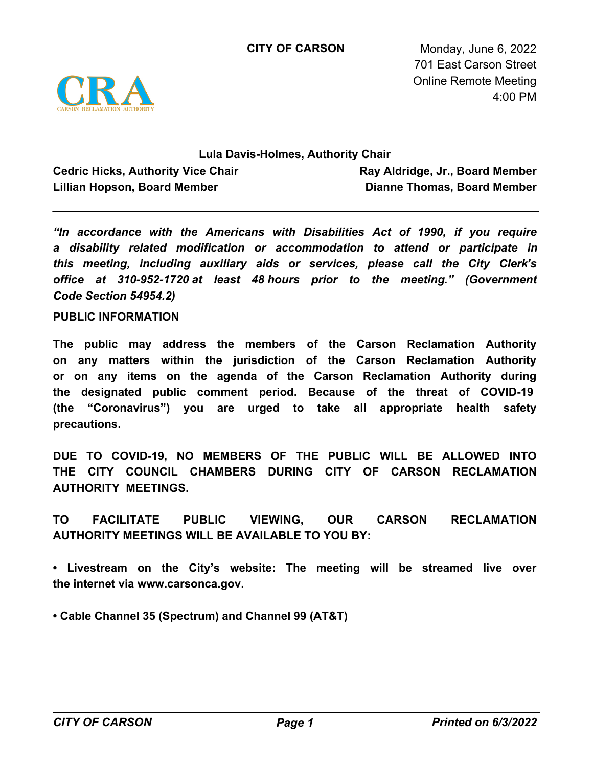

**CITY OF CARSON** Monday, June 6, 2022 701 East Carson Street Online Remote Meeting 4:00 PM

## **Lula Davis-Holmes, Authority Chair**

**Cedric Hicks, Authority Vice Chair Lillian Hopson, Board Member**

**Ray Aldridge, Jr., Board Member Dianne Thomas, Board Member**

*"In accordance with the Americans with Disabilities Act of 1990, if you require a disability related modification or accommodation to attend or participate in this meeting, including auxiliary aids or services, please call the City Clerk's office at 310-952-1720 at least 48 hours prior to the meeting." (Government Code Section 54954.2)*

**PUBLIC INFORMATION**

**The public may address the members of the Carson Reclamation Authority on any matters within the jurisdiction of the Carson Reclamation Authority or on any items on the agenda of the Carson Reclamation Authority during the designated public comment period. Because of the threat of COVID-19 (the "Coronavirus") you are urged to take all appropriate health safety precautions.**

**DUE TO COVID-19, NO MEMBERS OF THE PUBLIC WILL BE ALLOWED INTO THE CITY COUNCIL CHAMBERS DURING CITY OF CARSON RECLAMATION AUTHORITY MEETINGS.**

**TO FACILITATE PUBLIC VIEWING, OUR CARSON RECLAMATION AUTHORITY MEETINGS WILL BE AVAILABLE TO YOU BY:**

**• Livestream on the City's website: The meeting will be streamed live over the internet via www.carsonca.gov.** 

**• Cable Channel 35 (Spectrum) and Channel 99 (AT&T)**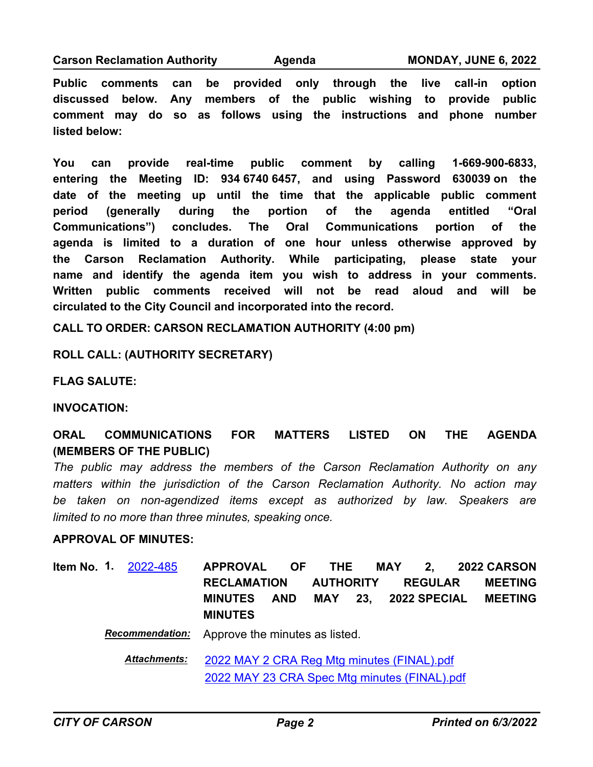#### **Carson Reclamation Authority Agenda MONDAY, JUNE 6, 2022**

**Public comments can be provided only through the live call-in option discussed below. Any members of the public wishing to provide public comment may do so as follows using the instructions and phone number listed below:**

**You can provide real-time public comment by calling 1-669-900-6833, entering the Meeting ID: 934 6740 6457, and using Password 630039 on the date of the meeting up until the time that the applicable public comment period (generally during the portion of the agenda entitled "Oral Communications") concludes. The Oral Communications portion of the agenda is limited to a duration of one hour unless otherwise approved by the Carson Reclamation Authority. While participating, please state your name and identify the agenda item you wish to address in your comments. Written public comments received will not be read aloud and will be circulated to the City Council and incorporated into the record.**

**CALL TO ORDER: CARSON RECLAMATION AUTHORITY (4:00 pm)**

**ROLL CALL: (AUTHORITY SECRETARY)**

**FLAG SALUTE:**

**INVOCATION:**

**ORAL COMMUNICATIONS FOR MATTERS LISTED ON THE AGENDA (MEMBERS OF THE PUBLIC)**

*The public may address the members of the Carson Reclamation Authority on any matters within the jurisdiction of the Carson Reclamation Authority. No action may be taken on non-agendized items except as authorized by law. Speakers are limited to no more than three minutes, speaking once.*

# **APPROVAL OF MINUTES:**

**APPROVAL OF THE MAY 2, 2022 CARSON RECLAMATION AUTHORITY REGULAR MEETING MINUTES AND MAY 23, 2022 SPECIAL MEETING MINUTES Item No. 1.** [2022-485](http://carson.legistar.com/gateway.aspx?m=l&id=/matter.aspx?key=10416)

*Recommendation:* Approve the minutes as listed.

[2022 MAY 2 CRA Reg Mtg minutes \(FINAL\).pdf](http://carson.legistar.com/gateway.aspx?M=F&ID=4dc0ba81-d0fd-40ae-a053-c3a1e9f27640.pdf) [2022 MAY 23 CRA Spec Mtg minutes \(FINAL\).pdf](http://carson.legistar.com/gateway.aspx?M=F&ID=51ce1960-4676-4fc9-ac69-b822515e0227.pdf) *Attachments:*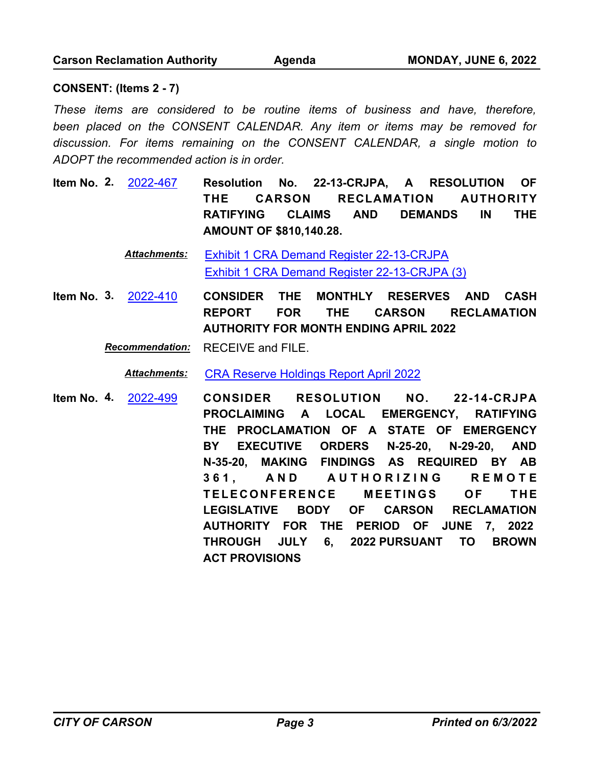## **CONSENT: (Items 2 - 7)**

*These items are considered to be routine items of business and have, therefore, been placed on the CONSENT CALENDAR. Any item or items may be removed for discussion. For items remaining on the CONSENT CALENDAR, a single motion to ADOPT the recommended action is in order.*

**Resolution No. 22-13-CRJPA, A RESOLUTION OF THE CARSON RECLAMATION AUTHORITY RATIFYING CLAIMS AND DEMANDS IN THE AMOUNT OF \$810,140.28. Item No. 2.** [2022-467](http://carson.legistar.com/gateway.aspx?m=l&id=/matter.aspx?key=10398)

> [Exhibit 1 CRA Demand Register 22-13-CRJPA](http://carson.legistar.com/gateway.aspx?M=F&ID=512895ba-9006-412c-8650-ced28263e95c.pdf) [Exhibit 1 CRA Demand Register 22-13-CRJPA \(3\)](http://carson.legistar.com/gateway.aspx?M=F&ID=bdd98426-2385-47bb-b028-401e87dbac72.pdf) *Attachments:*

**CONSIDER THE MONTHLY RESERVES AND CASH REPORT FOR THE CARSON RECLAMATION AUTHORITY FOR MONTH ENDING APRIL 2022 Item No. 3.** [2022-410](http://carson.legistar.com/gateway.aspx?m=l&id=/matter.aspx?key=10343)

*Recommendation:* RECEIVE and FILE.

*Attachments:* [CRA Reserve Holdings Report April 2022](http://carson.legistar.com/gateway.aspx?M=F&ID=873338ca-207a-4bde-a7fd-0f6fb6b0557c.pdf)

**CONSIDER RESOLUTION NO. 22-14-CRJPA PROCLAIMING A LOCAL EMERGENCY, RATIFYING THE PROCLAMATION OF A STATE OF EMERGENCY BY EXECUTIVE ORDERS N-25-20, N-29-20, AND N-35-20, MAKING FINDINGS AS REQUIRED BY AB 3 6 1 , A N D A U T H O R I Z I N G R E M O T E**  TELECONFERENCE MEETINGS OF THE **LEGISLATIVE BODY OF CARSON RECLAMATION AUTHORITY FOR THE PERIOD OF JUNE 7, 2022 THROUGH JULY 6, 2022 PURSUANT TO BROWN ACT PROVISIONS Item No. 4.** [2022-499](http://carson.legistar.com/gateway.aspx?m=l&id=/matter.aspx?key=10430)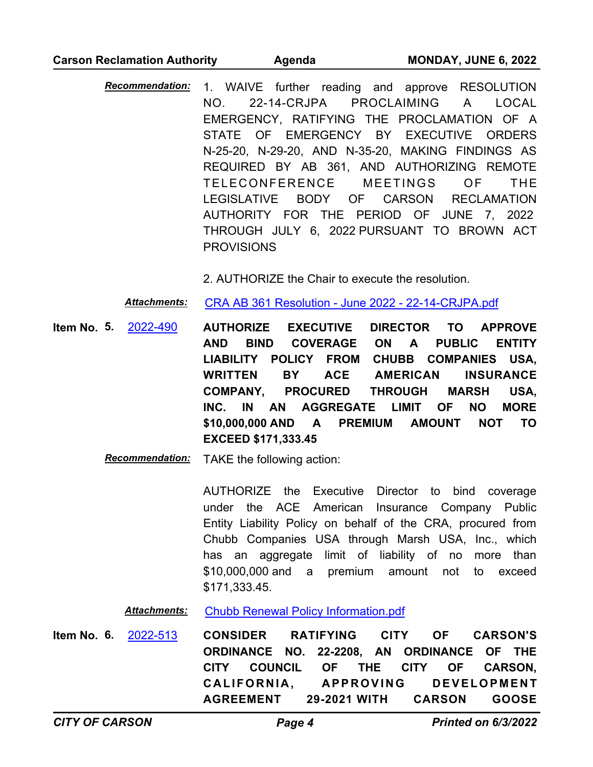### **Carson Reclamation Authority Agenda MONDAY, JUNE 6, 2022**

*Recommendation:* 1. WAIVE further reading and approve RESOLUTION NO. 22-14-CRJPA PROCLAIMING A LOCAL EMERGENCY, RATIFYING THE PROCLAMATION OF A STATE OF EMERGENCY BY EXECUTIVE ORDERS N-25-20, N-29-20, AND N-35-20, MAKING FINDINGS AS REQUIRED BY AB 361, AND AUTHORIZING REMOTE TELECONFERENCE MEETINGS OF THE LEGISLATIVE BODY OF CARSON RECLAMATION AUTHORITY FOR THE PERIOD OF JUNE 7, 2022 THROUGH JULY 6, 2022 PURSUANT TO BROWN ACT **PROVISIONS** 

2. AUTHORIZE the Chair to execute the resolution.

*Attachments:* [CRA AB 361 Resolution - June 2022 - 22-14-CRJPA.pdf](http://carson.legistar.com/gateway.aspx?M=F&ID=1a89ee7a-63e6-4a38-adbc-ae6e0876561a.pdf)

**AUTHORIZE EXECUTIVE DIRECTOR TO APPROVE AND BIND COVERAGE ON A PUBLIC ENTITY LIABILITY POLICY FROM CHUBB COMPANIES USA, WRITTEN BY ACE AMERICAN INSURANCE COMPANY, PROCURED THROUGH MARSH USA, INC. IN AN AGGREGATE LIMIT OF NO MORE \$10,000,000 AND A PREMIUM AMOUNT NOT TO EXCEED \$171,333.45 Item No. 5.** [2022-490](http://carson.legistar.com/gateway.aspx?m=l&id=/matter.aspx?key=10421)

*Recommendation:* TAKE the following action:

AUTHORIZE the Executive Director to bind coverage under the ACE American Insurance Company Public Entity Liability Policy on behalf of the CRA, procured from Chubb Companies USA through Marsh USA, Inc., which has an aggregate limit of liability of no more than \$10,000,000 and a premium amount not to exceed \$171,333.45.

*Attachments:* [Chubb Renewal Policy Information.pdf](http://carson.legistar.com/gateway.aspx?M=F&ID=cfa97df3-7e1c-4f50-b046-4494dcd1d914.pdf)

**CONSIDER RATIFYING CITY OF CARSON'S ORDINANCE NO. 22-2208, AN ORDINANCE OF THE CITY COUNCIL OF THE CITY OF CARSON,**  CALIFORNIA, APPROVING DEVELOPMENT **AGREEMENT 29-2021 WITH CARSON GOOSE Item No. 6.** [2022-513](http://carson.legistar.com/gateway.aspx?m=l&id=/matter.aspx?key=10444)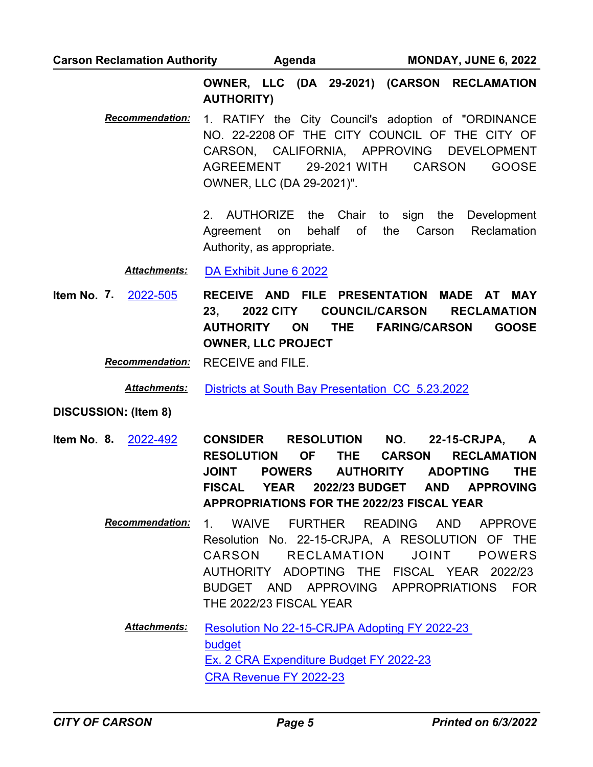**Carson Reclamation Authority Agenda MONDAY, JUNE 6, 2022**

**OWNER, LLC (DA 29-2021) (CARSON RECLAMATION AUTHORITY)**

*Recommendation:* 1. RATIFY the City Council's adoption of "ORDINANCE NO. 22-2208 OF THE CITY COUNCIL OF THE CITY OF CARSON, CALIFORNIA, APPROVING DEVELOPMENT AGREEMENT 29-2021 WITH CARSON GOOSE OWNER, LLC (DA 29-2021)".

> 2. AUTHORIZE the Chair to sign the Development Agreement on behalf of the Carson Reclamation Authority, as appropriate.

*Attachments:* [DA Exhibit June 6 2022](http://carson.legistar.com/gateway.aspx?M=F&ID=72345a40-d798-4b4d-a0f9-30551f47bf70.pdf)

**RECEIVE AND FILE PRESENTATION MADE AT MAY 23, 2022 CITY COUNCIL/CARSON RECLAMATION AUTHORITY ON THE FARING/CARSON GOOSE OWNER, LLC PROJECT Item No. 7.** [2022-505](http://carson.legistar.com/gateway.aspx?m=l&id=/matter.aspx?key=10436)

*Recommendation:* RECEIVE and FILE.

*Attachments:* [Districts at South Bay Presentation\\_CC\\_5.23.2022](http://carson.legistar.com/gateway.aspx?M=F&ID=b2ded403-f279-4b84-80d8-6b77bb09db14.pdf)

### **DISCUSSION: (Item 8)**

- **CONSIDER RESOLUTION NO. 22-15-CRJPA, A RESOLUTION OF THE CARSON RECLAMATION JOINT POWERS AUTHORITY ADOPTING THE FISCAL YEAR 2022/23 BUDGET AND APPROVING APPROPRIATIONS FOR THE 2022/23 FISCAL YEAR Item No. 8.** [2022-492](http://carson.legistar.com/gateway.aspx?m=l&id=/matter.aspx?key=10423)
	- *Recommendation:* 1. WAIVE FURTHER READING AND APPROVE Resolution No. 22-15-CRJPA, A RESOLUTION OF THE CARSON RECLAMATION JOINT POWERS AUTHORITY ADOPTING THE FISCAL YEAR 2022/23 BUDGET AND APPROVING APPROPRIATIONS FOR THE 2022/23 FISCAL YEAR
		- [Resolution No 22-15-CRJPA Adopting FY 2022-23](http://carson.legistar.com/gateway.aspx?M=F&ID=caab63c8-f058-47c8-aaac-bfa4bb62dafa.pdf)  budget [Ex. 2 CRA Expenditure Budget FY 2022-23](http://carson.legistar.com/gateway.aspx?M=F&ID=870d44ca-f12c-4245-9ce8-6fdcd58ddd46.pdf) [CRA Revenue FY 2022-23](http://carson.legistar.com/gateway.aspx?M=F&ID=9d5918bd-725c-4783-aa73-9f601785d519.pdf) *Attachments:*